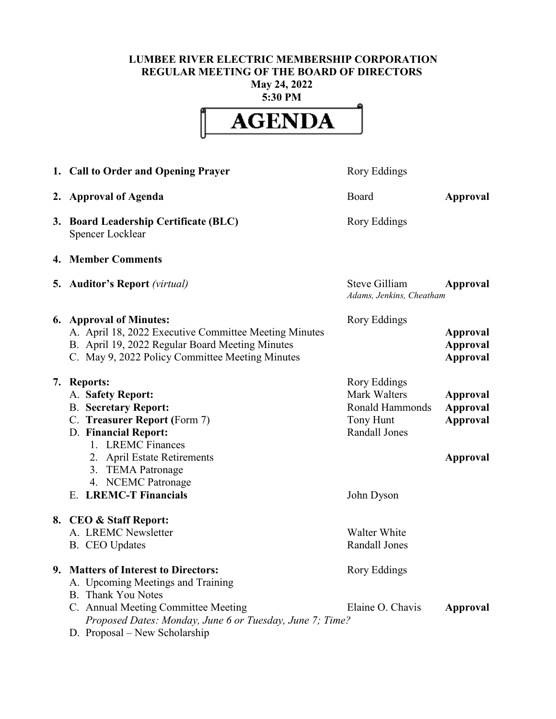## **LUMBEE RIVER ELECTRIC MEMBERSHIP CORPORATION REGULAR MEETING OF THE BOARD OF DIRECTORS May 24, 2022**

**5:30 PM**



| 1. Call to Order and Opening Prayer                                                                                                                                                                                                                    | Rory Eddings                                                                                              |                                                            |
|--------------------------------------------------------------------------------------------------------------------------------------------------------------------------------------------------------------------------------------------------------|-----------------------------------------------------------------------------------------------------------|------------------------------------------------------------|
| 2. Approval of Agenda                                                                                                                                                                                                                                  | Board                                                                                                     | Approval                                                   |
| 3. Board Leadership Certificate (BLC)<br>Spencer Locklear                                                                                                                                                                                              | Rory Eddings                                                                                              |                                                            |
| 4. Member Comments                                                                                                                                                                                                                                     |                                                                                                           |                                                            |
| <b>5. Auditor's Report</b> (virtual)                                                                                                                                                                                                                   | Steve Gilliam<br>Adams, Jenkins, Cheatham                                                                 | Approval                                                   |
| 6. Approval of Minutes:<br>A. April 18, 2022 Executive Committee Meeting Minutes<br>B. April 19, 2022 Regular Board Meeting Minutes<br>C. May 9, 2022 Policy Committee Meeting Minutes                                                                 | Rory Eddings                                                                                              | Approval<br><b>Approval</b><br><b>Approval</b>             |
| 7. Reports:<br>A. Safety Report:<br><b>B.</b> Secretary Report:<br>C. Treasurer Report (Form 7)<br>D. Financial Report:<br>1. LREMC Finances<br>2. April Estate Retirements<br>3. TEMA Patronage<br>4. NCEMC Patronage<br><b>E. LREMC-T Financials</b> | Rory Eddings<br>Mark Walters<br><b>Ronald Hammonds</b><br>Tony Hunt<br><b>Randall Jones</b><br>John Dyson | Approval<br><b>Approval</b><br><b>Approval</b><br>Approval |
| 8. CEO & Staff Report:<br>A. LREMC Newsletter<br>B. CEO Updates                                                                                                                                                                                        | Walter White<br>Randall Jones                                                                             |                                                            |
| 9. Matters of Interest to Directors:<br>A. Upcoming Meetings and Training<br><b>B.</b> Thank You Notes                                                                                                                                                 | Rory Eddings                                                                                              |                                                            |
| C. Annual Meeting Committee Meeting<br>Proposed Dates: Monday, June 6 or Tuesday, June 7; Time?<br>D. Proposal – New Scholarship                                                                                                                       | Elaine O. Chavis                                                                                          | Approval                                                   |